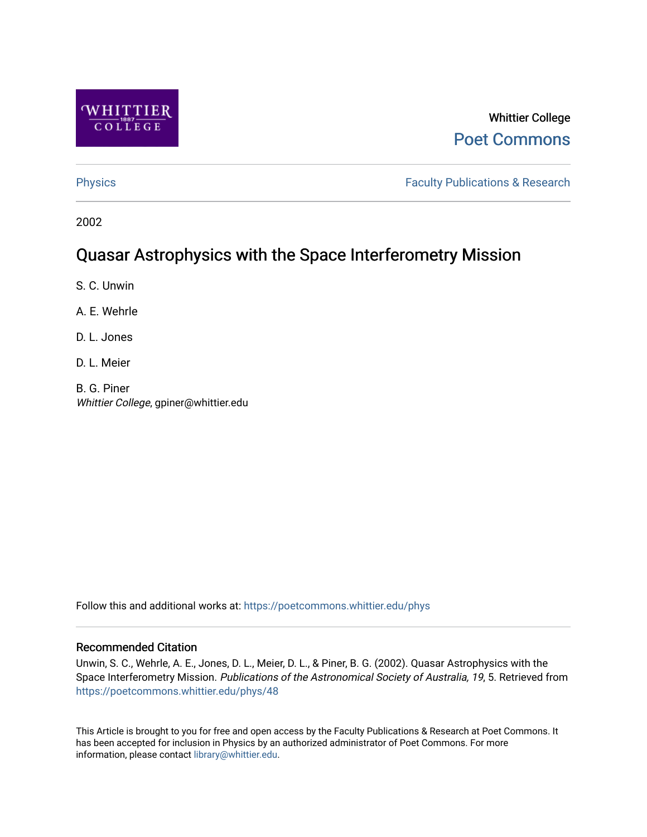

# Whittier College [Poet Commons](https://poetcommons.whittier.edu/)

[Physics](https://poetcommons.whittier.edu/phys) **Faculty Publications & Research Physics Faculty Publications & Research** 

2002

# Quasar Astrophysics with the Space Interferometry Mission

S. C. Unwin

A. E. Wehrle

D. L. Jones

D. L. Meier

B. G. Piner Whittier College, gpiner@whittier.edu

Follow this and additional works at: [https://poetcommons.whittier.edu/phys](https://poetcommons.whittier.edu/phys?utm_source=poetcommons.whittier.edu%2Fphys%2F48&utm_medium=PDF&utm_campaign=PDFCoverPages)

### Recommended Citation

Unwin, S. C., Wehrle, A. E., Jones, D. L., Meier, D. L., & Piner, B. G. (2002). Quasar Astrophysics with the Space Interferometry Mission. Publications of the Astronomical Society of Australia, 19, 5. Retrieved from [https://poetcommons.whittier.edu/phys/48](https://poetcommons.whittier.edu/phys/48?utm_source=poetcommons.whittier.edu%2Fphys%2F48&utm_medium=PDF&utm_campaign=PDFCoverPages) 

This Article is brought to you for free and open access by the Faculty Publications & Research at Poet Commons. It has been accepted for inclusion in Physics by an authorized administrator of Poet Commons. For more information, please contact [library@whittier.edu.](mailto:library@whittier.edu)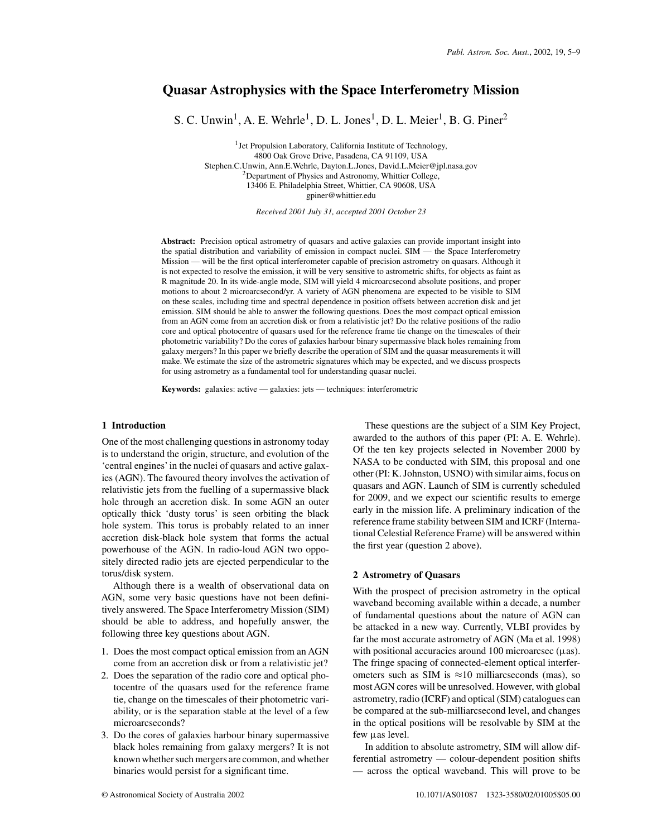## **Quasar Astrophysics with the Space Interferometry Mission**

S. C. Unwin<sup>1</sup>, A. E. Wehrle<sup>1</sup>, D. L. Jones<sup>1</sup>, D. L. Meier<sup>1</sup>, B. G. Piner<sup>2</sup>

<sup>1</sup> Jet Propulsion Laboratory, California Institute of Technology, 4800 Oak Grove Drive, Pasadena, CA 91109, USA Stephen.C.Unwin, Ann.E.Wehrle, Dayton.L.Jones, David.L.Meier@jpl.nasa.gov  $2$ Department of Physics and Astronomy, Whittier College, 13406 E. Philadelphia Street, Whittier, CA 90608, USA gpiner@whittier.edu

*Received 2001 July 31, accepted 2001 October 23*

**Abstract:** Precision optical astrometry of quasars and active galaxies can provide important insight into the spatial distribution and variability of emission in compact nuclei. SIM — the Space Interferometry Mission — will be the first optical interferometer capable of precision astrometry on quasars. Although it is not expected to resolve the emission, it will be very sensitive to astrometric shifts, for objects as faint as R magnitude 20. In its wide-angle mode, SIM will yield 4 microarcsecond absolute positions, and proper motions to about 2 microarcsecond/yr. A variety of AGN phenomena are expected to be visible to SIM on these scales, including time and spectral dependence in position offsets between accretion disk and jet emission. SIM should be able to answer the following questions. Does the most compact optical emission from an AGN come from an accretion disk or from a relativistic jet? Do the relative positions of the radio core and optical photocentre of quasars used for the reference frame tie change on the timescales of their photometric variability? Do the cores of galaxies harbour binary supermassive black holes remaining from galaxy mergers? In this paper we briefly describe the operation of SIM and the quasar measurements it will make. We estimate the size of the astrometric signatures which may be expected, and we discuss prospects for using astrometry as a fundamental tool for understanding quasar nuclei.

**Keywords:** galaxies: active — galaxies: jets — techniques: interferometric

### **1 Introduction**

One of the most challenging questions in astronomy today is to understand the origin, structure, and evolution of the 'central engines'in the nuclei of quasars and active galaxies (AGN). The favoured theory involves the activation of relativistic jets from the fuelling of a supermassive black hole through an accretion disk. In some AGN an outer optically thick 'dusty torus' is seen orbiting the black hole system. This torus is probably related to an inner accretion disk-black hole system that forms the actual powerhouse of the AGN. In radio-loud AGN two oppositely directed radio jets are ejected perpendicular to the torus/disk system.

Although there is a wealth of observational data on AGN, some very basic questions have not been definitively answered. The Space Interferometry Mission (SIM) should be able to address, and hopefully answer, the following three key questions about AGN.

- 1. Does the most compact optical emission from an AGN come from an accretion disk or from a relativistic jet?
- 2. Does the separation of the radio core and optical photocentre of the quasars used for the reference frame tie, change on the timescales of their photometric variability, or is the separation stable at the level of a few microarcseconds?
- 3. Do the cores of galaxies harbour binary supermassive black holes remaining from galaxy mergers? It is not known whether such mergers are common, and whether binaries would persist for a significant time.

These questions are the subject of a SIM Key Project, awarded to the authors of this paper (PI: A. E. Wehrle). Of the ten key projects selected in November 2000 by NASA to be conducted with SIM, this proposal and one other (PI: K.Johnston, USNO) with similar aims, focus on quasars and AGN. Launch of SIM is currently scheduled for 2009, and we expect our scientific results to emerge early in the mission life. A preliminary indication of the reference frame stability between SIM and ICRF (International Celestial Reference Frame) will be answered within the first year (question 2 above).

#### **2 Astrometry of Quasars**

With the prospect of precision astrometry in the optical waveband becoming available within a decade, a number of fundamental questions about the nature of AGN can be attacked in a new way. Currently, VLBI provides by far the most accurate astrometry of AGN (Ma et al. 1998) with positional accuracies around  $100$  microarcsec ( $\mu$ as). The fringe spacing of connected-element optical interferometers such as SIM is  $\approx$ 10 milliarcseconds (mas), so mostAGN cores will be unresolved. However, with global astrometry, radio (ICRF) and optical (SIM) catalogues can be compared at the sub-milliarcsecond level, and changes in the optical positions will be resolvable by SIM at the few uas level.

In addition to absolute astrometry, SIM will allow differential astrometry — colour-dependent position shifts — across the optical waveband. This will prove to be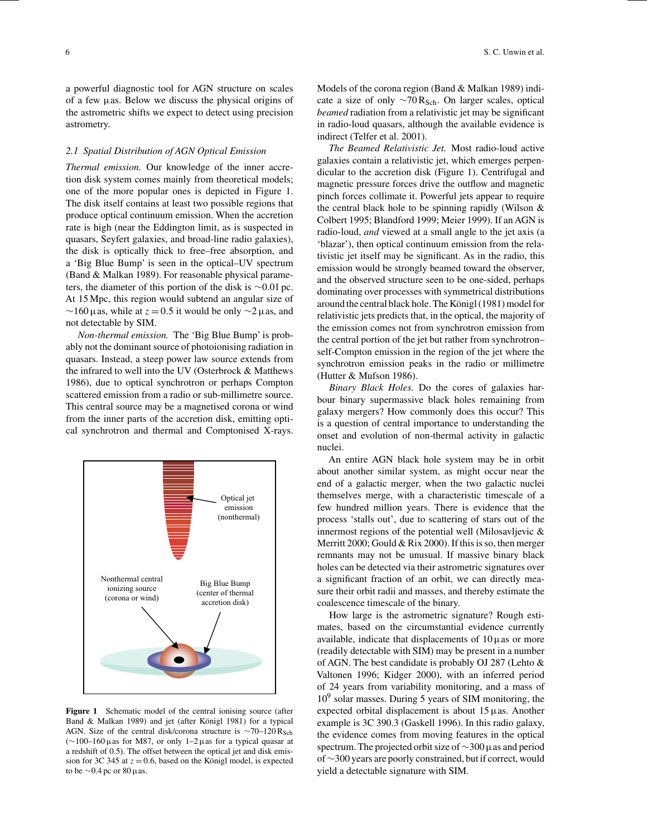a powerful diagnostic tool for AGN structure on scales of a few  $\mu$ as. Below we discuss the physical origins of the astrometric shifts we expect to detect using precision astrometry.

#### *2.1 Spatial Distribution of AGN Optical Emission*

*Thermal emission.* Our knowledge of the inner accretion disk system comes mainly from theoretical models; one of the more popular ones is depicted in Figure 1. The disk itself contains at least two possible regions that produce optical continuum emission. When the accretion rate is high (near the Eddington limit, as is suspected in quasars, Seyfert galaxies, and broad-line radio galaxies), the disk is optically thick to free–free absorption, and a 'Big Blue Bump' is seen in the optical–UV spectrum (Band & Malkan 1989). For reasonable physical parameters, the diameter of this portion of the disk is ∼0.01 pc. At 15 Mpc, this region would subtend an angular size of  $\sim$ 160 µas, while at  $z = 0.5$  it would be only  $\sim$ 2 µas, and not detectable by SIM.

*Non-thermal emission.* The 'Big Blue Bump' is probably not the dominant source of photoionising radiation in quasars. Instead, a steep power law source extends from the infrared to well into the UV (Osterbrock & Matthews 1986), due to optical synchrotron or perhaps Compton scattered emission from a radio or sub-millimetre source. This central source may be a magnetised corona or wind from the inner parts of the accretion disk, emitting optical synchrotron and thermal and Comptonised X-rays.



**Figure 1** Schematic model of the central ionising source (after Band & Malkan 1989) and jet (after Königl 1981) for a typical AGN. Size of the central disk/corona structure is  $\sim$ 70–120 R<sub>Sch</sub> (∼100–160µas for M87, or only 1–2µas for a typical quasar at a redshift of 0.5). The offset between the optical jet and disk emission for 3C 345 at  $z = 0.6$ , based on the Königl model, is expected to be  $\sim$ 0.4 pc or 80 µas.

Models of the corona region (Band & Malkan 1989) indicate a size of only  $\sim$ 70 R<sub>Sch</sub>. On larger scales, optical *beamed* radiation from a relativistic jet may be significant in radio-loud quasars, although the available evidence is indirect (Telfer et al. 2001).

*The Beamed Relativistic Jet.* Most radio-loud active galaxies contain a relativistic jet, which emerges perpendicular to the accretion disk (Figure 1). Centrifugal and magnetic pressure forces drive the outflow and magnetic pinch forces collimate it. Powerful jets appear to require the central black hole to be spinning rapidly (Wilson & Colbert 1995; Blandford 1999; Meier 1999). If an AGN is radio-loud, *and* viewed at a small angle to the jet axis (a 'blazar'), then optical continuum emission from the relativistic jet itself may be significant. As in the radio, this emission would be strongly beamed toward the observer, and the observed structure seen to be one-sided, perhaps dominating over processes with symmetrical distributions around the central black hole. The Königl (1981) model for relativistic jets predicts that, in the optical, the majority of the emission comes not from synchrotron emission from the central portion of the jet but rather from synchrotron– self-Compton emission in the region of the jet where the synchrotron emission peaks in the radio or millimetre (Hutter & Mufson 1986).

*Binary Black Holes.* Do the cores of galaxies harbour binary supermassive black holes remaining from galaxy mergers? How commonly does this occur? This is a question of central importance to understanding the onset and evolution of non-thermal activity in galactic nuclei.

An entire AGN black hole system may be in orbit about another similar system, as might occur near the end of a galactic merger, when the two galactic nuclei themselves merge, with a characteristic timescale of a few hundred million years. There is evidence that the process 'stalls out', due to scattering of stars out of the innermost regions of the potential well (Milosavljevic & Merritt 2000; Gould & Rix 2000). If this is so, then merger remnants may not be unusual. If massive binary black holes can be detected via their astrometric signatures over a significant fraction of an orbit, we can directly measure their orbit radii and masses, and thereby estimate the coalescence timescale of the binary.

How large is the astrometric signature? Rough estimates, based on the circumstantial evidence currently available, indicate that displacements of  $10 \mu$ as or more (readily detectable with SIM) may be present in a number of AGN. The best candidate is probably OJ 287 (Lehto & Valtonen 1996; Kidger 2000), with an inferred period of 24 years from variability monitoring, and a mass of 10<sup>9</sup> solar masses. During 5 years of SIM monitoring, the expected orbital displacement is about  $15 \mu$ as. Another example is 3C 390.3 (Gaskell 1996). In this radio galaxy, the evidence comes from moving features in the optical spectrum. The projected orbit size of ∼300 µas and period of ∼300 years are poorly constrained, but if correct, would yield a detectable signature with SIM.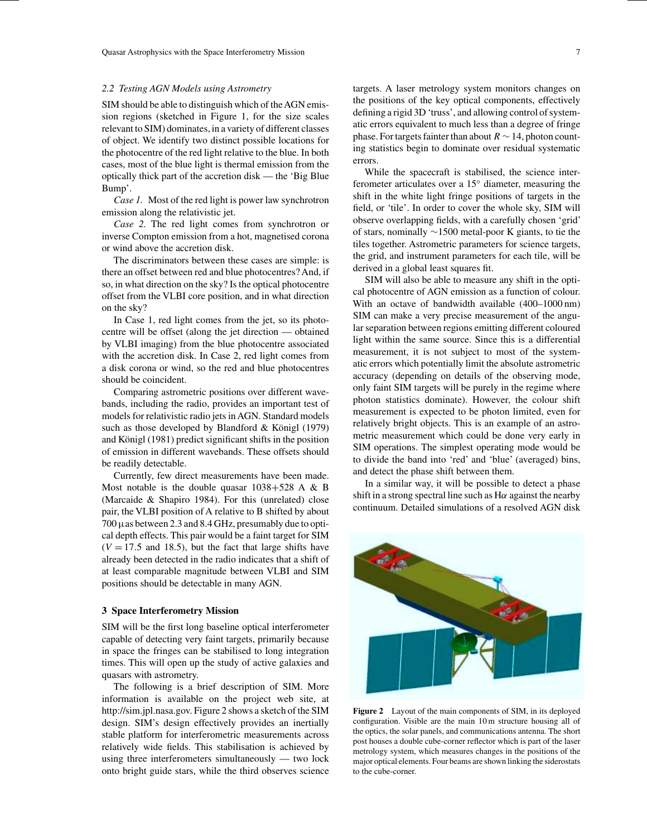#### *2.2 Testing AGN Models using Astrometry*

SIM should be able to distinguish which of the AGN emission regions (sketched in Figure 1, for the size scales relevant to SIM) dominates, in a variety of different classes of object. We identify two distinct possible locations for the photocentre of the red light relative to the blue. In both cases, most of the blue light is thermal emission from the optically thick part of the accretion disk — the 'Big Blue Bump'.

*Case 1.* Most of the red light is power law synchrotron emission along the relativistic jet.

*Case 2.* The red light comes from synchrotron or inverse Compton emission from a hot, magnetised corona or wind above the accretion disk.

The discriminators between these cases are simple: is there an offset between red and blue photocentres?And, if so, in what direction on the sky? Is the optical photocentre offset from the VLBI core position, and in what direction on the sky?

In Case 1, red light comes from the jet, so its photocentre will be offset (along the jet direction — obtained by VLBI imaging) from the blue photocentre associated with the accretion disk. In Case 2, red light comes from a disk corona or wind, so the red and blue photocentres should be coincident.

Comparing astrometric positions over different wavebands, including the radio, provides an important test of models for relativistic radio jets in AGN. Standard models such as those developed by Blandford & Königl (1979) and Königl (1981) predict significant shifts in the position of emission in different wavebands. These offsets should be readily detectable.

Currently, few direct measurements have been made. Most notable is the double quasar 1038+528 A & B (Marcaide & Shapiro 1984). For this (unrelated) close pair, the VLBI position of A relative to B shifted by about  $700 \mu$  as between 2.3 and 8.4 GHz, presumably due to optical depth effects. This pair would be a faint target for SIM  $(V = 17.5$  and 18.5), but the fact that large shifts have already been detected in the radio indicates that a shift of at least comparable magnitude between VLBI and SIM positions should be detectable in many AGN.

#### **3 Space Interferometry Mission**

SIM will be the first long baseline optical interferometer capable of detecting very faint targets, primarily because in space the fringes can be stabilised to long integration times. This will open up the study of active galaxies and quasars with astrometry.

The following is a brief description of SIM. More information is available on the project web site, at http://sim.jpl.nasa.gov. Figure 2 shows a sketch of the SIM design. SIM's design effectively provides an inertially stable platform for interferometric measurements across relatively wide fields. This stabilisation is achieved by using three interferometers simultaneously — two lock onto bright guide stars, while the third observes science targets. A laser metrology system monitors changes on the positions of the key optical components, effectively defining a rigid 3D 'truss', and allowing control of systematic errors equivalent to much less than a degree of fringe phase. For targets fainter than about  $R \sim 14$ , photon counting statistics begin to dominate over residual systematic errors.

While the spacecraft is stabilised, the science interferometer articulates over a 15◦ diameter, measuring the shift in the white light fringe positions of targets in the field, or 'tile'. In order to cover the whole sky, SIM will observe overlapping fields, with a carefully chosen 'grid' of stars, nominally ∼1500 metal-poor K giants, to tie the tiles together. Astrometric parameters for science targets, the grid, and instrument parameters for each tile, will be derived in a global least squares fit.

SIM will also be able to measure any shift in the optical photocentre of AGN emission as a function of colour. With an octave of bandwidth available (400–1000 nm) SIM can make a very precise measurement of the angular separation between regions emitting different coloured light within the same source. Since this is a differential measurement, it is not subject to most of the systematic errors which potentially limit the absolute astrometric accuracy (depending on details of the observing mode, only faint SIM targets will be purely in the regime where photon statistics dominate). However, the colour shift measurement is expected to be photon limited, even for relatively bright objects. This is an example of an astrometric measurement which could be done very early in SIM operations. The simplest operating mode would be to divide the band into 'red' and 'blue' (averaged) bins, and detect the phase shift between them.

In a similar way, it will be possible to detect a phase shift in a strong spectral line such as  $H\alpha$  against the nearby continuum. Detailed simulations of a resolved AGN disk



**Figure 2** Layout of the main components of SIM, in its deployed configuration. Visible are the main 10 m structure housing all of the optics, the solar panels, and communications antenna. The short post houses a double cube-corner reflector which is part of the laser metrology system, which measures changes in the positions of the major optical elements. Four beams are shown linking the siderostats to the cube-corner.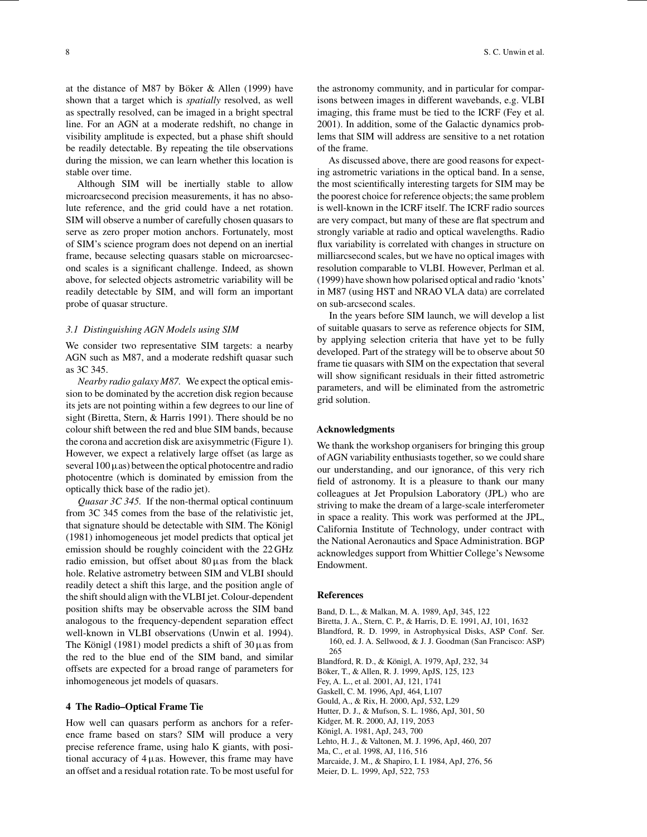at the distance of M87 by Böker & Allen (1999) have shown that a target which is *spatially* resolved, as well as spectrally resolved, can be imaged in a bright spectral line. For an AGN at a moderate redshift, no change in visibility amplitude is expected, but a phase shift should be readily detectable. By repeating the tile observations during the mission, we can learn whether this location is stable over time.

Although SIM will be inertially stable to allow microarcsecond precision measurements, it has no absolute reference, and the grid could have a net rotation. SIM will observe a number of carefully chosen quasars to serve as zero proper motion anchors. Fortunately, most of SIM's science program does not depend on an inertial frame, because selecting quasars stable on microarcsecond scales is a significant challenge. Indeed, as shown above, for selected objects astrometric variability will be readily detectable by SIM, and will form an important probe of quasar structure.

#### *3.1 Distinguishing AGN Models using SIM*

We consider two representative SIM targets: a nearby AGN such as M87, and a moderate redshift quasar such as 3C 345.

*Nearby radio galaxy M87.* We expect the optical emission to be dominated by the accretion disk region because its jets are not pointing within a few degrees to our line of sight (Biretta, Stern, & Harris 1991). There should be no colour shift between the red and blue SIM bands, because the corona and accretion disk are axisymmetric (Figure 1). However, we expect a relatively large offset (as large as several  $100 \mu$ as) between the optical photocentre and radio photocentre (which is dominated by emission from the optically thick base of the radio jet).

*Quasar 3C 345.* If the non-thermal optical continuum from 3C 345 comes from the base of the relativistic jet, that signature should be detectable with SIM. The Königl (1981) inhomogeneous jet model predicts that optical jet emission should be roughly coincident with the 22 GHz radio emission, but offset about  $80 \mu$ as from the black hole. Relative astrometry between SIM and VLBI should readily detect a shift this large, and the position angle of the shift should align with the VLBI jet. Colour-dependent position shifts may be observable across the SIM band analogous to the frequency-dependent separation effect well-known in VLBI observations (Unwin et al. 1994). The Königl (1981) model predicts a shift of  $30 \mu$ as from the red to the blue end of the SIM band, and similar offsets are expected for a broad range of parameters for inhomogeneous jet models of quasars.

#### **4 The Radio–Optical Frame Tie**

How well can quasars perform as anchors for a reference frame based on stars? SIM will produce a very precise reference frame, using halo K giants, with positional accuracy of  $4 \mu$ as. However, this frame may have an offset and a residual rotation rate. To be most useful for

the astronomy community, and in particular for compar-

isons between images in different wavebands, e.g. VLBI imaging, this frame must be tied to the ICRF (Fey et al. 2001). In addition, some of the Galactic dynamics problems that SIM will address are sensitive to a net rotation of the frame.

As discussed above, there are good reasons for expecting astrometric variations in the optical band. In a sense, the most scientifically interesting targets for SIM may be the poorest choice for reference objects; the same problem is well-known in the ICRF itself. The ICRF radio sources are very compact, but many of these are flat spectrum and strongly variable at radio and optical wavelengths. Radio flux variability is correlated with changes in structure on milliarcsecond scales, but we have no optical images with resolution comparable to VLBI. However, Perlman et al. (1999) have shown how polarised optical and radio 'knots' in M87 (using HST and NRAO VLA data) are correlated on sub-arcsecond scales.

In the years before SIM launch, we will develop a list of suitable quasars to serve as reference objects for SIM, by applying selection criteria that have yet to be fully developed. Part of the strategy will be to observe about 50 frame tie quasars with SIM on the expectation that several will show significant residuals in their fitted astrometric parameters, and will be eliminated from the astrometric grid solution.

#### **Acknowledgments**

We thank the workshop organisers for bringing this group of AGN variability enthusiasts together, so we could share our understanding, and our ignorance, of this very rich field of astronomy. It is a pleasure to thank our many colleagues at Jet Propulsion Laboratory (JPL) who are striving to make the dream of a large-scale interferometer in space a reality. This work was performed at the JPL, California Institute of Technology, under contract with the National Aeronautics and Space Administration. BGP acknowledges support from Whittier College's Newsome Endowment.

#### **References**

- Band, D. L., & Malkan, M. A. 1989, ApJ, 345, 122
- Biretta, J. A., Stern, C. P., & Harris, D. E. 1991, AJ, 101, 1632
- Blandford, R. D. 1999, in Astrophysical Disks, ASP Conf. Ser. 160, ed. J. A. Sellwood, & J. J. Goodman (San Francisco: ASP) 265
- Blandford, R. D., & Königl, A. 1979, ApJ, 232, 34
- Böker, T., & Allen, R. J. 1999, ApJS, 125, 123
- Fey, A. L., et al. 2001, AJ, 121, 1741
- Gaskell, C. M. 1996, ApJ, 464, L107
- Gould, A., & Rix, H. 2000, ApJ, 532, L29
- Hutter, D. J., & Mufson, S. L. 1986, ApJ, 301, 50
- Kidger, M. R. 2000, AJ, 119, 2053
- Königl, A. 1981, ApJ, 243, 700
- Lehto, H. J., & Valtonen, M. J. 1996, ApJ, 460, 207
- Ma, C., et al. 1998, AJ, 116, 516
- Marcaide, J. M., & Shapiro, I. I. 1984, ApJ, 276, 56
	- Meier, D. L. 1999, ApJ, 522, 753